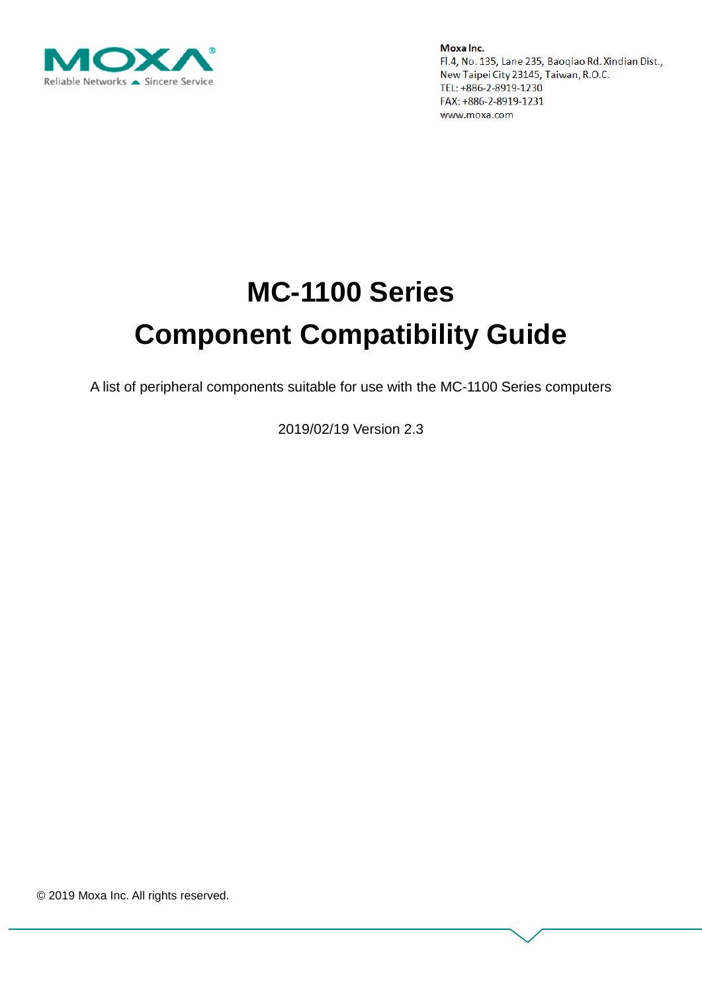

# **MC-1100 Series Component Compatibility Guide**

A list of peripheral components suitable for use with the MC-1100 Series computers

2019/02/19 Version 2.3

© 2019 Moxa Inc. All rights reserved.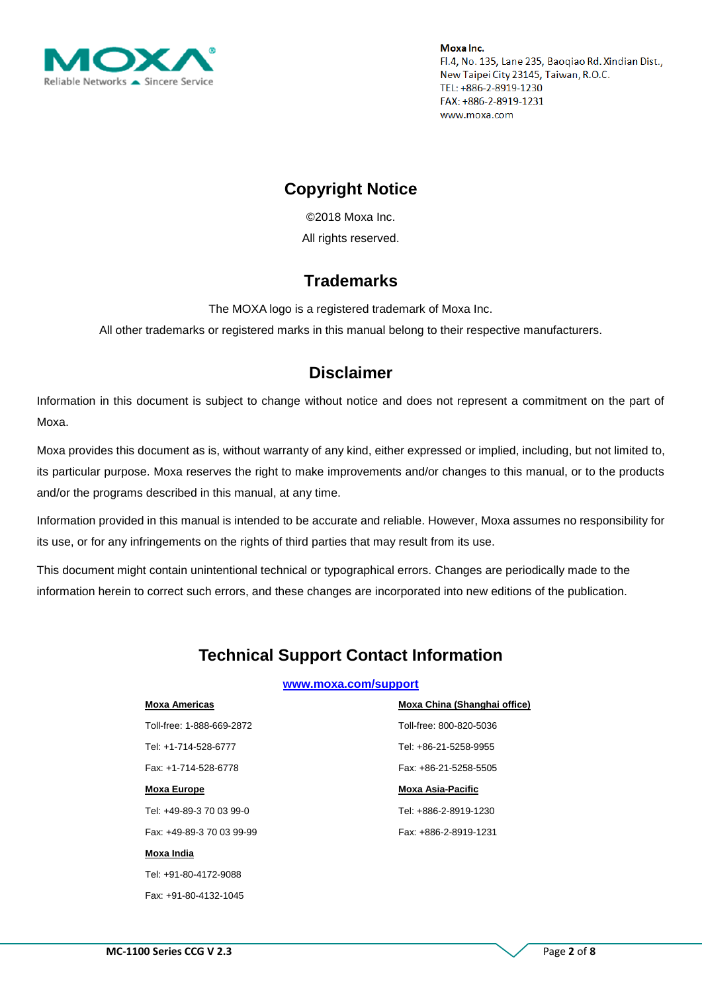

### **Copyright Notice**

© 2018 Moxa Inc. All rights reserved.

### **Trademarks**

The MOXA logo is a registered trademark of Moxa Inc.

All other trademarks or registered marks in this manual belong to their respective manufacturers.

### **Disclaimer**

Information in this document is subject to change without notice and does not represent a commitment on the part of Moxa.

Moxa provides this document as is, without warranty of any kind, either expressed or implied, including, but not limited to, its particular purpose. Moxa reserves the right to make improvements and/or changes to this manual, or to the products and/or the programs described in this manual, at any time.

Information provided in this manual is intended to be accurate and reliable. However, Moxa assumes no responsibility for its use, or for any infringements on the rights of third parties that may result from its use.

This document might contain unintentional technical or typographical errors. Changes are periodically made to the information herein to correct such errors, and these changes are incorporated into new editions of the publication.

## **Technical Support Contact Information**

#### **[www.moxa.com/support](http://www.moxa.com/support)**

| <b>Moxa Americas</b>      | Moxa China (Shanghai office) |
|---------------------------|------------------------------|
| Toll-free: 1-888-669-2872 | Toll-free: 800-820-5036      |
| Tel: +1-714-528-6777      | Tel: +86-21-5258-9955        |
| Fax: +1-714-528-6778      | Fax: +86-21-5258-5505        |
| <b>Moxa Europe</b>        | <b>Moxa Asia-Pacific</b>     |
| Tel: +49-89-3 70 03 99-0  | Tel: +886-2-8919-1230        |
| Fax: +49-89-3 70 03 99-99 | Fax: +886-2-8919-1231        |
| Moxa India                |                              |
| Tel: +91-80-4172-9088     |                              |
|                           |                              |

Fax: +91-80-4132-1045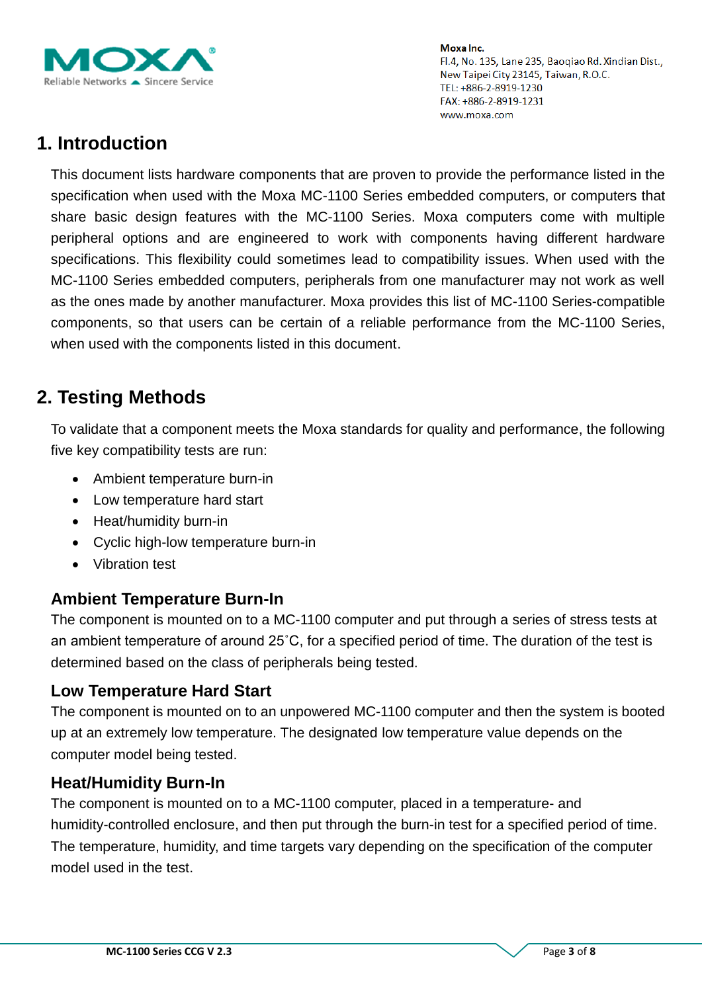

# **1. Introduction**

This document lists hardware components that are proven to provide the performance listed in the specification when used with the Moxa MC-1100 Series embedded computers, or computers that share basic design features with the MC-1100 Series. Moxa computers come with multiple peripheral options and are engineered to work with components having different hardware specifications. This flexibility could sometimes lead to compatibility issues. When used with the MC-1100 Series embedded computers, peripherals from one manufacturer may not work as well as the ones made by another manufacturer. Moxa provides this list of MC-1100 Series-compatible components, so that users can be certain of a reliable performance from the MC-1100 Series, when used with the components listed in this document.

# **2. Testing Methods**

To validate that a component meets the Moxa standards for quality and performance, the following five key compatibility tests are run:

- Ambient temperature burn-in
- Low temperature hard start
- Heat/humidity burn-in
- Cyclic high-low temperature burn-in
- Vibration test

#### **Ambient Temperature Burn-In**

The component is mounted on to a MC-1100 computer and put through a series of stress tests at an ambient temperature of around 25˚C, for a specified period of time. The duration of the test is determined based on the class of peripherals being tested.

#### **Low Temperature Hard Start**

The component is mounted on to an unpowered MC-1100 computer and then the system is booted up at an extremely low temperature. The designated low temperature value depends on the computer model being tested.

#### **Heat/Humidity Burn-In**

The component is mounted on to a MC-1100 computer, placed in a temperature- and humidity-controlled enclosure, and then put through the burn-in test for a specified period of time. The temperature, humidity, and time targets vary depending on the specification of the computer model used in the test.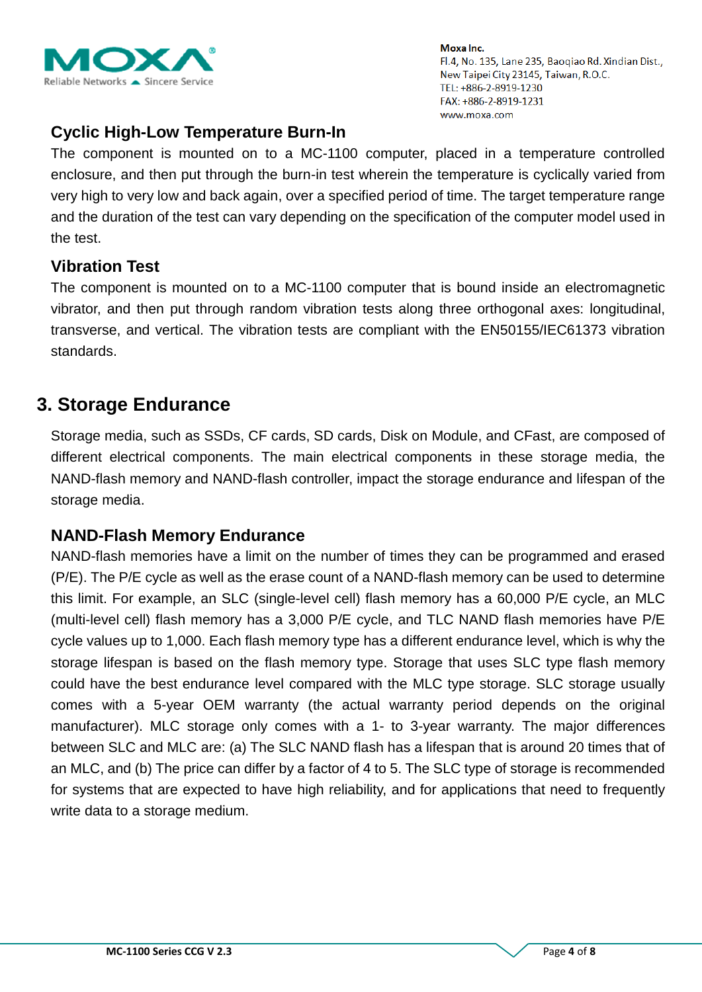

## **Cyclic High-Low Temperature Burn-In**

The component is mounted on to a MC-1100 computer, placed in a temperature controlled enclosure, and then put through the burn-in test wherein the temperature is cyclically varied from very high to very low and back again, over a specified period of time. The target temperature range and the duration of the test can vary depending on the specification of the computer model used in the test.

#### **Vibration Test**

The component is mounted on to a MC-1100 computer that is bound inside an electromagnetic vibrator, and then put through random vibration tests along three orthogonal axes: longitudinal, transverse, and vertical. The vibration tests are compliant with the EN50155/IEC61373 vibration standards.

## **3. Storage Endurance**

Storage media, such as SSDs, CF cards, SD cards, Disk on Module, and CFast, are composed of different electrical components. The main electrical components in these storage media, the NAND-flash memory and NAND-flash controller, impact the storage endurance and lifespan of the storage media.

#### **NAND-Flash Memory Endurance**

NAND-flash memories have a limit on the number of times they can be programmed and erased (P/E). The P/E cycle as well as the erase count of a NAND-flash memory can be used to determine this limit. For example, an SLC (single-level cell) flash memory has a 60,000 P/E cycle, an MLC (multi-level cell) flash memory has a 3,000 P/E cycle, and TLC NAND flash memories have P/E cycle values up to 1,000. Each flash memory type has a different endurance level, which is why the storage lifespan is based on the flash memory type. Storage that uses SLC type flash memory could have the best endurance level compared with the MLC type storage. SLC storage usually comes with a 5-year OEM warranty (the actual warranty period depends on the original manufacturer). MLC storage only comes with a 1- to 3-year warranty. The major differences between SLC and MLC are: (a) The SLC NAND flash has a lifespan that is around 20 times that of an MLC, and (b) The price can differ by a factor of 4 to 5. The SLC type of storage is recommended for systems that are expected to have high reliability, and for applications that need to frequently write data to a storage medium.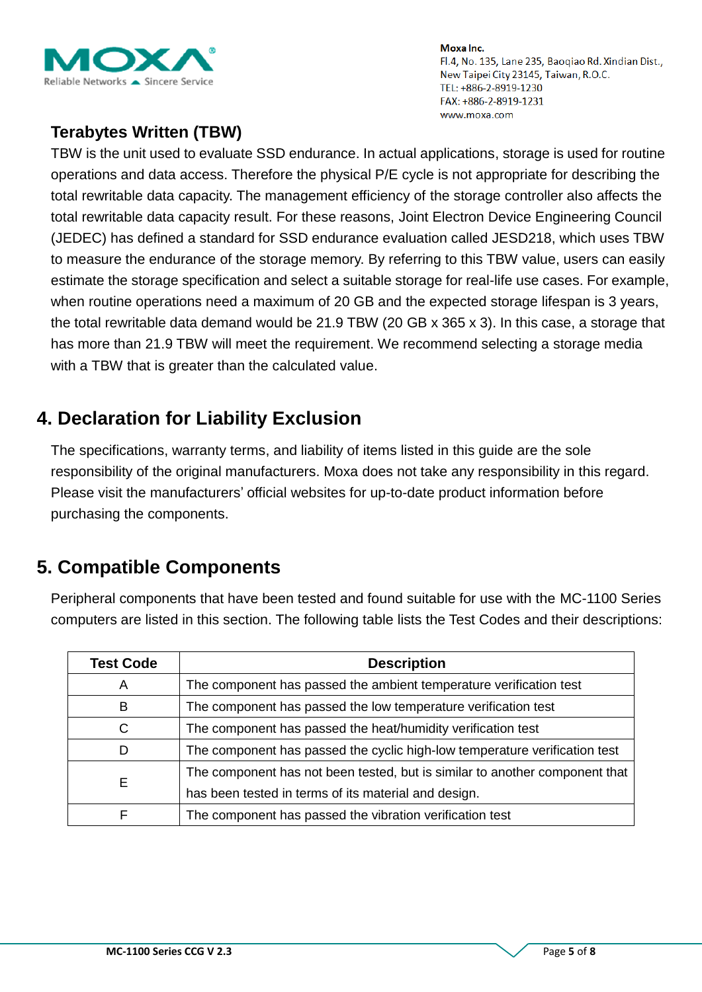

## **Terabytes Written (TBW)**

TBW is the unit used to evaluate SSD endurance. In actual applications, storage is used for routine operations and data access. Therefore the physical P/E cycle is not appropriate for describing the total rewritable data capacity. The management efficiency of the storage controller also affects the total rewritable data capacity result. For these reasons, Joint Electron Device Engineering Council (JEDEC) has defined a standard for SSD endurance evaluation called JESD218, which uses TBW to measure the endurance of the storage memory. By referring to this TBW value, users can easily estimate the storage specification and select a suitable storage for real-life use cases. For example, when routine operations need a maximum of 20 GB and the expected storage lifespan is 3 years, the total rewritable data demand would be 21.9 TBW (20 GB x 365 x 3). In this case, a storage that has more than 21.9 TBW will meet the requirement. We recommend selecting a storage media with a TBW that is greater than the calculated value.

# **4. Declaration for Liability Exclusion**

The specifications, warranty terms, and liability of items listed in this guide are the sole responsibility of the original manufacturers. Moxa does not take any responsibility in this regard. Please visit the manufacturers' official websites for up-to-date product information before purchasing the components.

# **5. Compatible Components**

Peripheral components that have been tested and found suitable for use with the MC-1100 Series computers are listed in this section. The following table lists the Test Codes and their descriptions:

| <b>Test Code</b> | <b>Description</b>                                                          |
|------------------|-----------------------------------------------------------------------------|
| Α                | The component has passed the ambient temperature verification test          |
| В                | The component has passed the low temperature verification test              |
| C                | The component has passed the heat/humidity verification test                |
| D                | The component has passed the cyclic high-low temperature verification test  |
| Е                | The component has not been tested, but is similar to another component that |
|                  | has been tested in terms of its material and design.                        |
|                  | The component has passed the vibration verification test                    |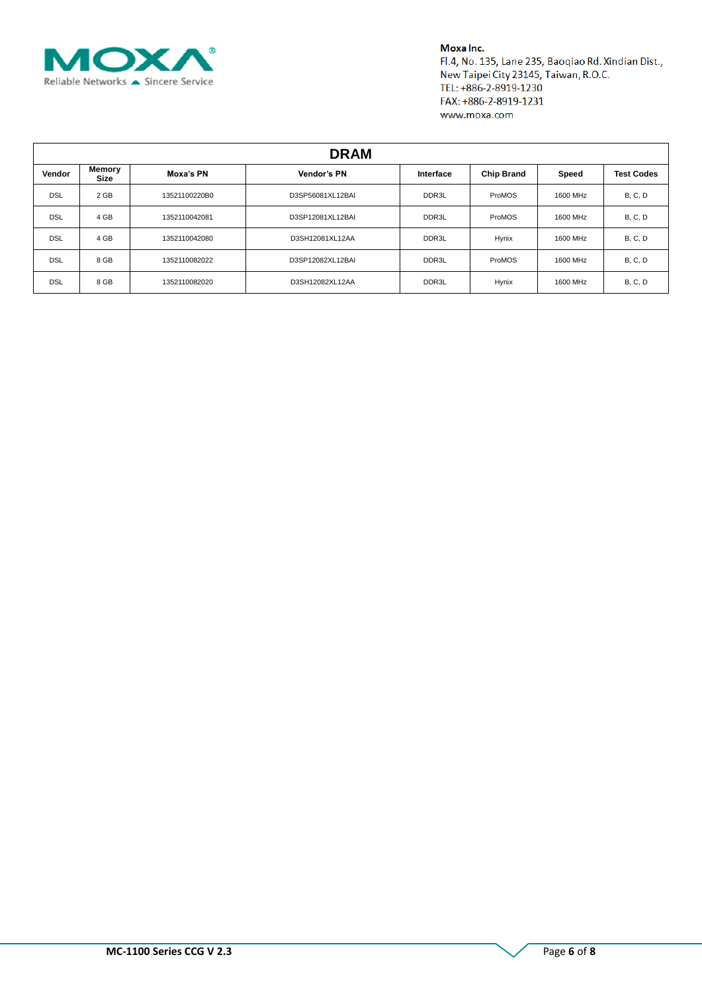

#### Moxa Inc.

Fl.4, No. 135, Lane 235, Baoqiao Rd. Xindian Dist., New Taipei City 23145, Taiwan, R.O.C. TEL: +886-2-8919-1230 FAX: +886-2-8919-1231 www.moxa.com

| <b>DRAM</b> |                |               |                  |           |        |                            |                |  |  |
|-------------|----------------|---------------|------------------|-----------|--------|----------------------------|----------------|--|--|
| Vendor      | Memory<br>Size | Moxa's PN     | Vendor's PN      | Interface |        | <b>Chip Brand</b><br>Speed |                |  |  |
| <b>DSL</b>  | 2 GB           | 13521100220B0 | D3SP56081XL12BAI | DDR3L     | ProMOS | 1600 MHz                   | <b>B, C, D</b> |  |  |
| <b>DSL</b>  | 4 GB           | 1352110042081 | D3SP12081XL12BAI | DDR3L     | ProMOS | 1600 MHz                   | <b>B, C, D</b> |  |  |
| <b>DSL</b>  | 4 GB           | 1352110042080 | D3SH12081XL12AA  | DDR3L     | Hynix  | 1600 MHz                   | B, C, D        |  |  |
| <b>DSL</b>  | 8 GB           | 1352110082022 | D3SP12082XL12BAI | DDR3L     | ProMOS | 1600 MHz                   | <b>B, C, D</b> |  |  |
| <b>DSL</b>  | 8 GB           | 1352110082020 | D3SH12082XL12AA  | DDR3L     | Hynix  | 1600 MHz                   | <b>B, C, D</b> |  |  |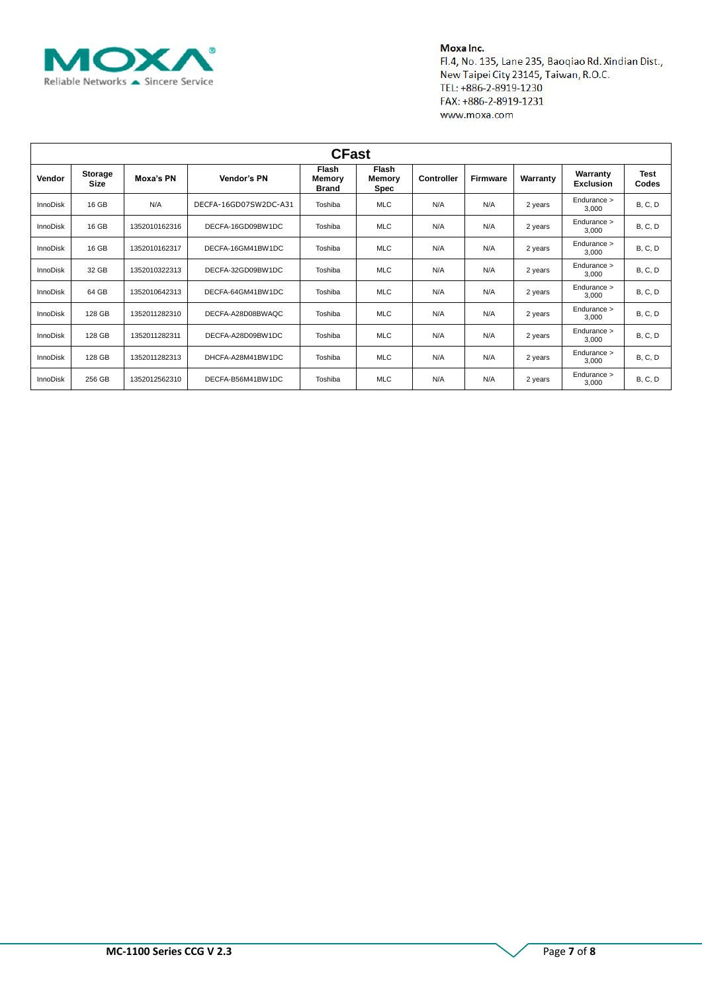

#### Moxa Inc.

Fl.4, No. 135, Lane 235, Baoqiao Rd. Xindian Dist., New Taipei City 23145, Taiwan, R.O.C. TEL: +886-2-8919-1230 FAX: +886-2-8919-1231 www.moxa.com

| <b>CFast</b>    |                               |               |                       |                                        |                                |                   |                 |          |                              |                      |
|-----------------|-------------------------------|---------------|-----------------------|----------------------------------------|--------------------------------|-------------------|-----------------|----------|------------------------------|----------------------|
| <b>Vendor</b>   | <b>Storage</b><br><b>Size</b> | Moxa's PN     | Vendor's PN           | <b>Flash</b><br>Memory<br><b>Brand</b> | <b>Flash</b><br>Memory<br>Spec | <b>Controller</b> | <b>Firmware</b> | Warranty | Warranty<br><b>Exclusion</b> | <b>Test</b><br>Codes |
| <b>InnoDisk</b> | 16 GB                         | N/A           | DECFA-16GD07SW2DC-A31 | Toshiba                                | <b>MLC</b>                     | N/A               | N/A             | 2 years  | Endurance ><br>3.000         | <b>B, C, D</b>       |
| <b>InnoDisk</b> | 16 GB                         | 1352010162316 | DECFA-16GD09BW1DC     | Toshiba                                | <b>MLC</b>                     | N/A               | N/A             | 2 years  | Endurance ><br>3.000         | <b>B, C, D</b>       |
| <b>InnoDisk</b> | 16 GB                         | 1352010162317 | DECFA-16GM41BW1DC     | Toshiba                                | <b>MLC</b>                     | N/A               | N/A             | 2 years  | Endurance ><br>3,000         | <b>B, C, D</b>       |
| <b>InnoDisk</b> | 32 GB                         | 1352010322313 | DECFA-32GD09BW1DC     | Toshiba                                | <b>MLC</b>                     | N/A               | N/A             | 2 years  | Endurance ><br>3.000         | <b>B, C, D</b>       |
| <b>InnoDisk</b> | 64 GB                         | 1352010642313 | DECFA-64GM41BW1DC     | Toshiba                                | <b>MLC</b>                     | N/A               | N/A             | 2 years  | Endurance ><br>3.000         | <b>B, C, D</b>       |
| <b>InnoDisk</b> | 128 GB                        | 1352011282310 | DECFA-A28D08BWAQC     | Toshiba                                | <b>MLC</b>                     | N/A               | N/A             | 2 years  | Endurance ><br>3.000         | <b>B, C, D</b>       |
| <b>InnoDisk</b> | 128 GB                        | 1352011282311 | DECFA-A28D09BW1DC     | Toshiba                                | <b>MLC</b>                     | N/A               | N/A             | 2 years  | Endurance ><br>3.000         | <b>B, C, D</b>       |
| <b>InnoDisk</b> | 128 GB                        | 1352011282313 | DHCFA-A28M41BW1DC     | Toshiba                                | <b>MLC</b>                     | N/A               | N/A             | 2 years  | Endurance ><br>3.000         | <b>B, C, D</b>       |
| <b>InnoDisk</b> | 256 GB                        | 1352012562310 | DECFA-B56M41BW1DC     | Toshiba                                | <b>MLC</b>                     | N/A               | N/A             | 2 years  | Endurance ><br>3.000         | <b>B, C, D</b>       |